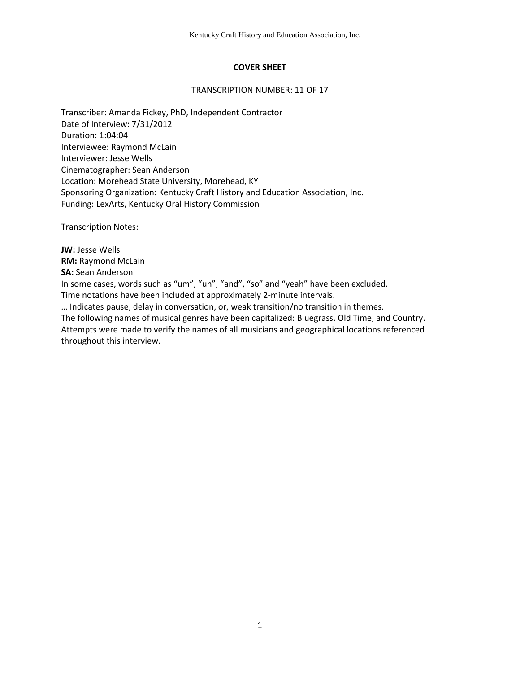# **COVER SHEET**

#### TRANSCRIPTION NUMBER: 11 OF 17

Transcriber: Amanda Fickey, PhD, Independent Contractor Date of Interview: 7/31/2012 Duration: 1:04:04 Interviewee: Raymond McLain Interviewer: Jesse Wells Cinematographer: Sean Anderson Location: Morehead State University, Morehead, KY Sponsoring Organization: Kentucky Craft History and Education Association, Inc. Funding: LexArts, Kentucky Oral History Commission

Transcription Notes:

**JW:** Jesse Wells **RM:** Raymond McLain **SA:** Sean Anderson In some cases, words such as "um", "uh", "and", "so" and "yeah" have been excluded. Time notations have been included at approximately 2-minute intervals. … Indicates pause, delay in conversation, or, weak transition/no transition in themes. The following names of musical genres have been capitalized: Bluegrass, Old Time, and Country. Attempts were made to verify the names of all musicians and geographical locations referenced

throughout this interview.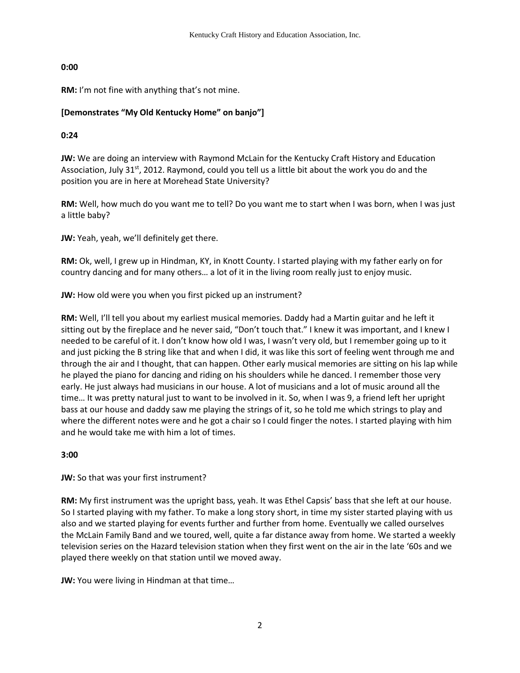# **0:00**

**RM:** I'm not fine with anything that's not mine.

# **[Demonstrates "My Old Kentucky Home" on banjo"]**

# **0:24**

**JW:** We are doing an interview with Raymond McLain for the Kentucky Craft History and Education Association, July 31<sup>st</sup>, 2012. Raymond, could you tell us a little bit about the work you do and the position you are in here at Morehead State University?

**RM:** Well, how much do you want me to tell? Do you want me to start when I was born, when I was just a little baby?

**JW:** Yeah, yeah, we'll definitely get there.

**RM:** Ok, well, I grew up in Hindman, KY, in Knott County. I started playing with my father early on for country dancing and for many others… a lot of it in the living room really just to enjoy music.

**JW:** How old were you when you first picked up an instrument?

**RM:** Well, I'll tell you about my earliest musical memories. Daddy had a Martin guitar and he left it sitting out by the fireplace and he never said, "Don't touch that." I knew it was important, and I knew I needed to be careful of it. I don't know how old I was, I wasn't very old, but I remember going up to it and just picking the B string like that and when I did, it was like this sort of feeling went through me and through the air and I thought, that can happen. Other early musical memories are sitting on his lap while he played the piano for dancing and riding on his shoulders while he danced. I remember those very early. He just always had musicians in our house. A lot of musicians and a lot of music around all the time… It was pretty natural just to want to be involved in it. So, when I was 9, a friend left her upright bass at our house and daddy saw me playing the strings of it, so he told me which strings to play and where the different notes were and he got a chair so I could finger the notes. I started playing with him and he would take me with him a lot of times.

**3:00**

**JW:** So that was your first instrument?

**RM:** My first instrument was the upright bass, yeah. It was Ethel Capsis' bass that she left at our house. So I started playing with my father. To make a long story short, in time my sister started playing with us also and we started playing for events further and further from home. Eventually we called ourselves the McLain Family Band and we toured, well, quite a far distance away from home. We started a weekly television series on the Hazard television station when they first went on the air in the late '60s and we played there weekly on that station until we moved away.

**JW:** You were living in Hindman at that time…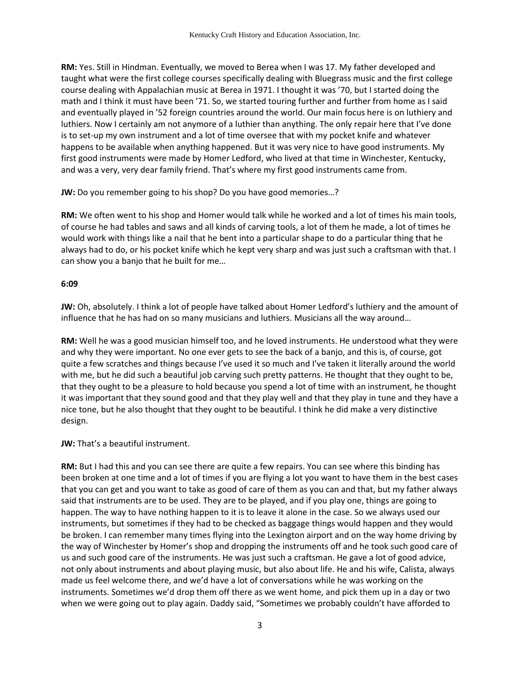**RM:** Yes. Still in Hindman. Eventually, we moved to Berea when I was 17. My father developed and taught what were the first college courses specifically dealing with Bluegrass music and the first college course dealing with Appalachian music at Berea in 1971. I thought it was '70, but I started doing the math and I think it must have been '71. So, we started touring further and further from home as I said and eventually played in '52 foreign countries around the world. Our main focus here is on luthiery and luthiers. Now I certainly am not anymore of a luthier than anything. The only repair here that I've done is to set-up my own instrument and a lot of time oversee that with my pocket knife and whatever happens to be available when anything happened. But it was very nice to have good instruments. My first good instruments were made by Homer Ledford, who lived at that time in Winchester, Kentucky, and was a very, very dear family friend. That's where my first good instruments came from.

**JW:** Do you remember going to his shop? Do you have good memories…?

**RM:** We often went to his shop and Homer would talk while he worked and a lot of times his main tools, of course he had tables and saws and all kinds of carving tools, a lot of them he made, a lot of times he would work with things like a nail that he bent into a particular shape to do a particular thing that he always had to do, or his pocket knife which he kept very sharp and was just such a craftsman with that. I can show you a banjo that he built for me…

### **6:09**

**JW:** Oh, absolutely. I think a lot of people have talked about Homer Ledford's luthiery and the amount of influence that he has had on so many musicians and luthiers. Musicians all the way around…

**RM:** Well he was a good musician himself too, and he loved instruments. He understood what they were and why they were important. No one ever gets to see the back of a banjo, and this is, of course, got quite a few scratches and things because I've used it so much and I've taken it literally around the world with me, but he did such a beautiful job carving such pretty patterns. He thought that they ought to be, that they ought to be a pleasure to hold because you spend a lot of time with an instrument, he thought it was important that they sound good and that they play well and that they play in tune and they have a nice tone, but he also thought that they ought to be beautiful. I think he did make a very distinctive design.

**JW:** That's a beautiful instrument.

**RM:** But I had this and you can see there are quite a few repairs. You can see where this binding has been broken at one time and a lot of times if you are flying a lot you want to have them in the best cases that you can get and you want to take as good of care of them as you can and that, but my father always said that instruments are to be used. They are to be played, and if you play one, things are going to happen. The way to have nothing happen to it is to leave it alone in the case. So we always used our instruments, but sometimes if they had to be checked as baggage things would happen and they would be broken. I can remember many times flying into the Lexington airport and on the way home driving by the way of Winchester by Homer's shop and dropping the instruments off and he took such good care of us and such good care of the instruments. He was just such a craftsman. He gave a lot of good advice, not only about instruments and about playing music, but also about life. He and his wife, Calista, always made us feel welcome there, and we'd have a lot of conversations while he was working on the instruments. Sometimes we'd drop them off there as we went home, and pick them up in a day or two when we were going out to play again. Daddy said, "Sometimes we probably couldn't have afforded to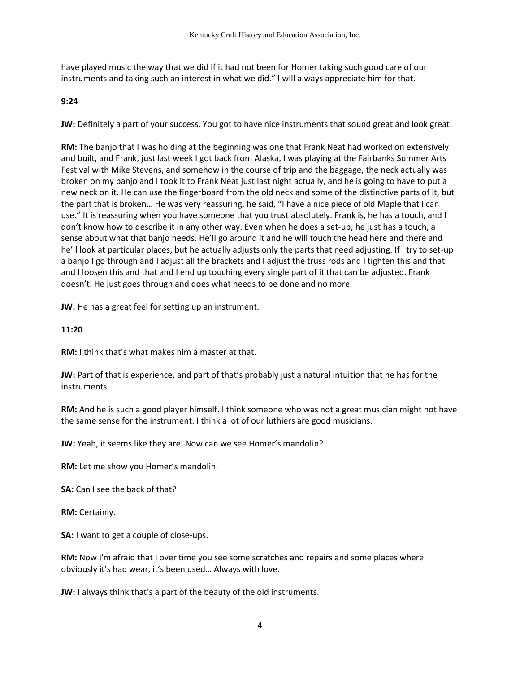have played music the way that we did if it had not been for Homer taking such good care of our instruments and taking such an interest in what we did." I will always appreciate him for that.

### **9:24**

**JW:** Definitely a part of your success. You got to have nice instruments that sound great and look great.

**RM:** The banjo that I was holding at the beginning was one that Frank Neat had worked on extensively and built, and Frank, just last week I got back from Alaska, I was playing at the Fairbanks Summer Arts Festival with Mike Stevens, and somehow in the course of trip and the baggage, the neck actually was broken on my banjo and I took it to Frank Neat just last night actually, and he is going to have to put a new neck on it. He can use the fingerboard from the old neck and some of the distinctive parts of it, but the part that is broken… He was very reassuring, he said, "I have a nice piece of old Maple that I can use." It is reassuring when you have someone that you trust absolutely. Frank is, he has a touch, and I don't know how to describe it in any other way. Even when he does a set-up, he just has a touch, a sense about what that banjo needs. He'll go around it and he will touch the head here and there and he'll look at particular places, but he actually adjusts only the parts that need adjusting. If I try to set-up a banjo I go through and I adjust all the brackets and I adjust the truss rods and I tighten this and that and I loosen this and that and I end up touching every single part of it that can be adjusted. Frank doesn't. He just goes through and does what needs to be done and no more.

**JW:** He has a great feel for setting up an instrument.

### **11:20**

**RM:** I think that's what makes him a master at that.

**JW:** Part of that is experience, and part of that's probably just a natural intuition that he has for the instruments.

**RM:** And he is such a good player himself. I think someone who was not a great musician might not have the same sense for the instrument. I think a lot of our luthiers are good musicians.

**JW:** Yeah, it seems like they are. Now can we see Homer's mandolin?

**RM:** Let me show you Homer's mandolin.

**SA:** Can I see the back of that?

**RM:** Certainly.

**SA:** I want to get a couple of close-ups.

**RM:** Now I'm afraid that I over time you see some scratches and repairs and some places where obviously it's had wear, it's been used… Always with love.

**JW:** I always think that's a part of the beauty of the old instruments.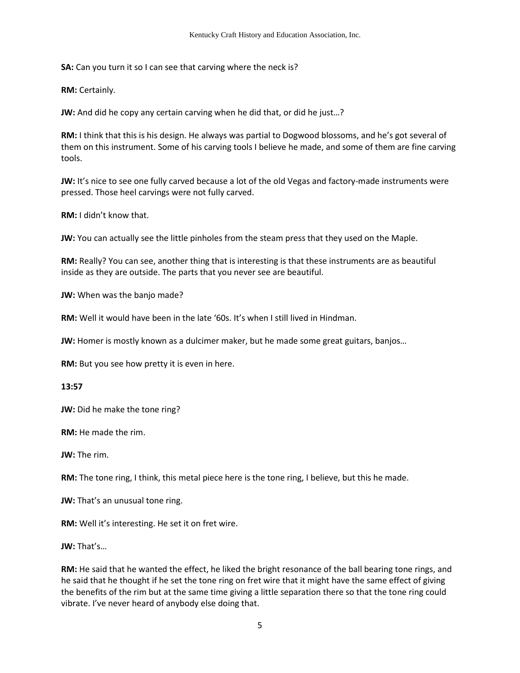**SA:** Can you turn it so I can see that carving where the neck is?

**RM:** Certainly.

**JW:** And did he copy any certain carving when he did that, or did he just…?

**RM:** I think that this is his design. He always was partial to Dogwood blossoms, and he's got several of them on this instrument. Some of his carving tools I believe he made, and some of them are fine carving tools.

**JW:** It's nice to see one fully carved because a lot of the old Vegas and factory-made instruments were pressed. Those heel carvings were not fully carved.

**RM:** I didn't know that.

**JW:** You can actually see the little pinholes from the steam press that they used on the Maple.

**RM:** Really? You can see, another thing that is interesting is that these instruments are as beautiful inside as they are outside. The parts that you never see are beautiful.

**JW:** When was the banjo made?

**RM:** Well it would have been in the late '60s. It's when I still lived in Hindman.

**JW:** Homer is mostly known as a dulcimer maker, but he made some great guitars, banjos…

**RM:** But you see how pretty it is even in here.

**13:57** 

**JW:** Did he make the tone ring?

**RM:** He made the rim.

**JW:** The rim.

**RM:** The tone ring, I think, this metal piece here is the tone ring, I believe, but this he made.

**JW:** That's an unusual tone ring.

**RM:** Well it's interesting. He set it on fret wire.

**JW:** That's…

**RM:** He said that he wanted the effect, he liked the bright resonance of the ball bearing tone rings, and he said that he thought if he set the tone ring on fret wire that it might have the same effect of giving the benefits of the rim but at the same time giving a little separation there so that the tone ring could vibrate. I've never heard of anybody else doing that.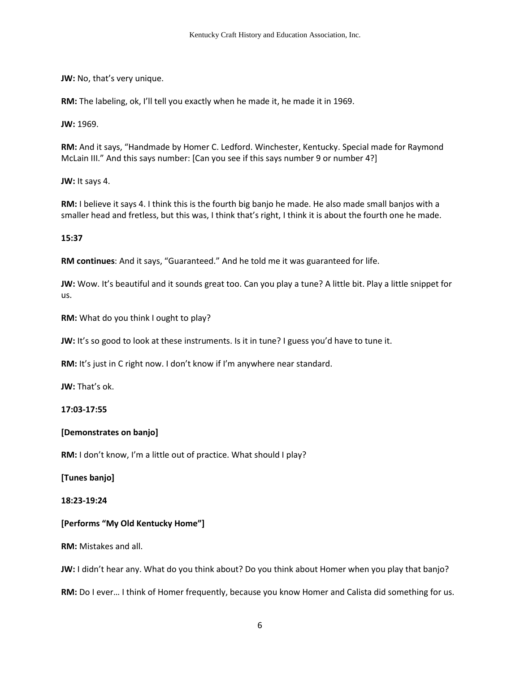**JW:** No, that's very unique.

**RM:** The labeling, ok, I'll tell you exactly when he made it, he made it in 1969.

**JW:** 1969.

**RM:** And it says, "Handmade by Homer C. Ledford. Winchester, Kentucky. Special made for Raymond McLain III." And this says number: [Can you see if this says number 9 or number 4?]

**JW:** It says 4.

**RM:** I believe it says 4. I think this is the fourth big banjo he made. He also made small banjos with a smaller head and fretless, but this was, I think that's right, I think it is about the fourth one he made.

**15:37**

**RM continues**: And it says, "Guaranteed." And he told me it was guaranteed for life.

**JW:** Wow. It's beautiful and it sounds great too. Can you play a tune? A little bit. Play a little snippet for us.

**RM:** What do you think I ought to play?

**JW:** It's so good to look at these instruments. Is it in tune? I guess you'd have to tune it.

**RM:** It's just in C right now. I don't know if I'm anywhere near standard.

**JW:** That's ok.

**17:03-17:55** 

### **[Demonstrates on banjo]**

**RM:** I don't know, I'm a little out of practice. What should I play?

**[Tunes banjo]** 

**18:23-19:24**

### **[Performs "My Old Kentucky Home"]**

**RM:** Mistakes and all.

**JW:** I didn't hear any. What do you think about? Do you think about Homer when you play that banjo?

**RM:** Do I ever… I think of Homer frequently, because you know Homer and Calista did something for us.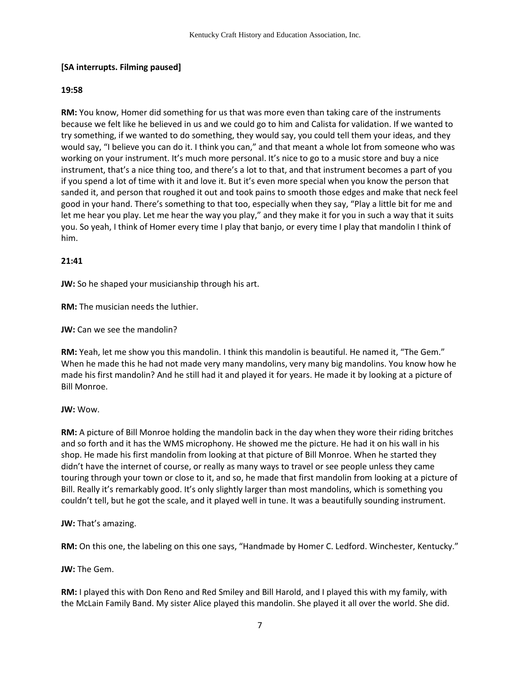# **[SA interrupts. Filming paused]**

## **19:58**

**RM:** You know, Homer did something for us that was more even than taking care of the instruments because we felt like he believed in us and we could go to him and Calista for validation. If we wanted to try something, if we wanted to do something, they would say, you could tell them your ideas, and they would say, "I believe you can do it. I think you can," and that meant a whole lot from someone who was working on your instrument. It's much more personal. It's nice to go to a music store and buy a nice instrument, that's a nice thing too, and there's a lot to that, and that instrument becomes a part of you if you spend a lot of time with it and love it. But it's even more special when you know the person that sanded it, and person that roughed it out and took pains to smooth those edges and make that neck feel good in your hand. There's something to that too, especially when they say, "Play a little bit for me and let me hear you play. Let me hear the way you play," and they make it for you in such a way that it suits you. So yeah, I think of Homer every time I play that banjo, or every time I play that mandolin I think of him.

# **21:41**

**JW:** So he shaped your musicianship through his art.

**RM:** The musician needs the luthier.

**JW:** Can we see the mandolin?

**RM:** Yeah, let me show you this mandolin. I think this mandolin is beautiful. He named it, "The Gem." When he made this he had not made very many mandolins, very many big mandolins. You know how he made his first mandolin? And he still had it and played it for years. He made it by looking at a picture of Bill Monroe.

### **JW:** Wow.

**RM:** A picture of Bill Monroe holding the mandolin back in the day when they wore their riding britches and so forth and it has the WMS microphony. He showed me the picture. He had it on his wall in his shop. He made his first mandolin from looking at that picture of Bill Monroe. When he started they didn't have the internet of course, or really as many ways to travel or see people unless they came touring through your town or close to it, and so, he made that first mandolin from looking at a picture of Bill. Really it's remarkably good. It's only slightly larger than most mandolins, which is something you couldn't tell, but he got the scale, and it played well in tune. It was a beautifully sounding instrument.

**JW:** That's amazing.

**RM:** On this one, the labeling on this one says, "Handmade by Homer C. Ledford. Winchester, Kentucky."

**JW:** The Gem.

**RM:** I played this with Don Reno and Red Smiley and Bill Harold, and I played this with my family, with the McLain Family Band. My sister Alice played this mandolin. She played it all over the world. She did.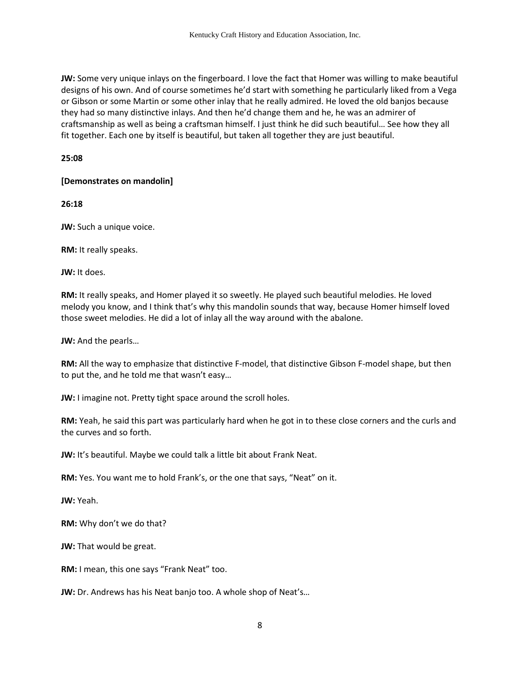**JW:** Some very unique inlays on the fingerboard. I love the fact that Homer was willing to make beautiful designs of his own. And of course sometimes he'd start with something he particularly liked from a Vega or Gibson or some Martin or some other inlay that he really admired. He loved the old banjos because they had so many distinctive inlays. And then he'd change them and he, he was an admirer of craftsmanship as well as being a craftsman himself. I just think he did such beautiful… See how they all fit together. Each one by itself is beautiful, but taken all together they are just beautiful.

**25:08** 

### **[Demonstrates on mandolin]**

**26:18**

**JW:** Such a unique voice.

**RM:** It really speaks.

**JW:** It does.

**RM:** It really speaks, and Homer played it so sweetly. He played such beautiful melodies. He loved melody you know, and I think that's why this mandolin sounds that way, because Homer himself loved those sweet melodies. He did a lot of inlay all the way around with the abalone.

**JW:** And the pearls…

**RM:** All the way to emphasize that distinctive F-model, that distinctive Gibson F-model shape, but then to put the, and he told me that wasn't easy…

**JW:** I imagine not. Pretty tight space around the scroll holes.

**RM:** Yeah, he said this part was particularly hard when he got in to these close corners and the curls and the curves and so forth.

**JW:** It's beautiful. Maybe we could talk a little bit about Frank Neat.

**RM:** Yes. You want me to hold Frank's, or the one that says, "Neat" on it.

**JW:** Yeah.

**RM:** Why don't we do that?

**JW:** That would be great.

**RM:** I mean, this one says "Frank Neat" too.

**JW:** Dr. Andrews has his Neat banjo too. A whole shop of Neat's…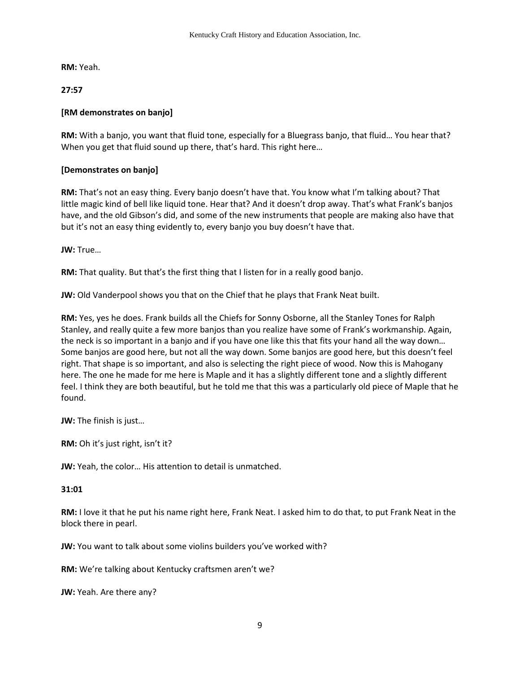**RM:** Yeah.

**27:57**

# **[RM demonstrates on banjo]**

**RM:** With a banjo, you want that fluid tone, especially for a Bluegrass banjo, that fluid… You hear that? When you get that fluid sound up there, that's hard. This right here…

# **[Demonstrates on banjo]**

**RM:** That's not an easy thing. Every banjo doesn't have that. You know what I'm talking about? That little magic kind of bell like liquid tone. Hear that? And it doesn't drop away. That's what Frank's banjos have, and the old Gibson's did, and some of the new instruments that people are making also have that but it's not an easy thing evidently to, every banjo you buy doesn't have that.

**JW:** True…

**RM:** That quality. But that's the first thing that I listen for in a really good banjo.

**JW:** Old Vanderpool shows you that on the Chief that he plays that Frank Neat built.

**RM:** Yes, yes he does. Frank builds all the Chiefs for Sonny Osborne, all the Stanley Tones for Ralph Stanley, and really quite a few more banjos than you realize have some of Frank's workmanship. Again, the neck is so important in a banjo and if you have one like this that fits your hand all the way down… Some banjos are good here, but not all the way down. Some banjos are good here, but this doesn't feel right. That shape is so important, and also is selecting the right piece of wood. Now this is Mahogany here. The one he made for me here is Maple and it has a slightly different tone and a slightly different feel. I think they are both beautiful, but he told me that this was a particularly old piece of Maple that he found.

**JW:** The finish is just…

**RM:** Oh it's just right, isn't it?

**JW:** Yeah, the color… His attention to detail is unmatched.

### **31:01**

**RM:** I love it that he put his name right here, Frank Neat. I asked him to do that, to put Frank Neat in the block there in pearl.

**JW:** You want to talk about some violins builders you've worked with?

**RM:** We're talking about Kentucky craftsmen aren't we?

**JW:** Yeah. Are there any?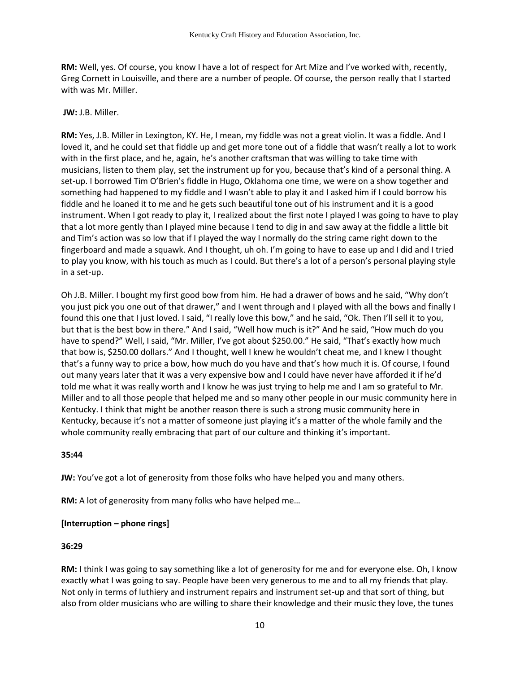**RM:** Well, yes. Of course, you know I have a lot of respect for Art Mize and I've worked with, recently, Greg Cornett in Louisville, and there are a number of people. Of course, the person really that I started with was Mr. Miller.

#### **JW:** J.B. Miller.

**RM:** Yes, J.B. Miller in Lexington, KY. He, I mean, my fiddle was not a great violin. It was a fiddle. And I loved it, and he could set that fiddle up and get more tone out of a fiddle that wasn't really a lot to work with in the first place, and he, again, he's another craftsman that was willing to take time with musicians, listen to them play, set the instrument up for you, because that's kind of a personal thing. A set-up. I borrowed Tim O'Brien's fiddle in Hugo, Oklahoma one time, we were on a show together and something had happened to my fiddle and I wasn't able to play it and I asked him if I could borrow his fiddle and he loaned it to me and he gets such beautiful tone out of his instrument and it is a good instrument. When I got ready to play it, I realized about the first note I played I was going to have to play that a lot more gently than I played mine because I tend to dig in and saw away at the fiddle a little bit and Tim's action was so low that if I played the way I normally do the string came right down to the fingerboard and made a squawk. And I thought, uh oh. I'm going to have to ease up and I did and I tried to play you know, with his touch as much as I could. But there's a lot of a person's personal playing style in a set-up.

Oh J.B. Miller. I bought my first good bow from him. He had a drawer of bows and he said, "Why don't you just pick you one out of that drawer," and I went through and I played with all the bows and finally I found this one that I just loved. I said, "I really love this bow," and he said, "Ok. Then I'll sell it to you, but that is the best bow in there." And I said, "Well how much is it?" And he said, "How much do you have to spend?" Well, I said, "Mr. Miller, I've got about \$250.00." He said, "That's exactly how much that bow is, \$250.00 dollars." And I thought, well I knew he wouldn't cheat me, and I knew I thought that's a funny way to price a bow, how much do you have and that's how much it is. Of course, I found out many years later that it was a very expensive bow and I could have never have afforded it if he'd told me what it was really worth and I know he was just trying to help me and I am so grateful to Mr. Miller and to all those people that helped me and so many other people in our music community here in Kentucky. I think that might be another reason there is such a strong music community here in Kentucky, because it's not a matter of someone just playing it's a matter of the whole family and the whole community really embracing that part of our culture and thinking it's important.

### **35:44**

**JW:** You've got a lot of generosity from those folks who have helped you and many others.

**RM:** A lot of generosity from many folks who have helped me…

### **[Interruption – phone rings]**

#### **36:29**

**RM:** I think I was going to say something like a lot of generosity for me and for everyone else. Oh, I know exactly what I was going to say. People have been very generous to me and to all my friends that play. Not only in terms of luthiery and instrument repairs and instrument set-up and that sort of thing, but also from older musicians who are willing to share their knowledge and their music they love, the tunes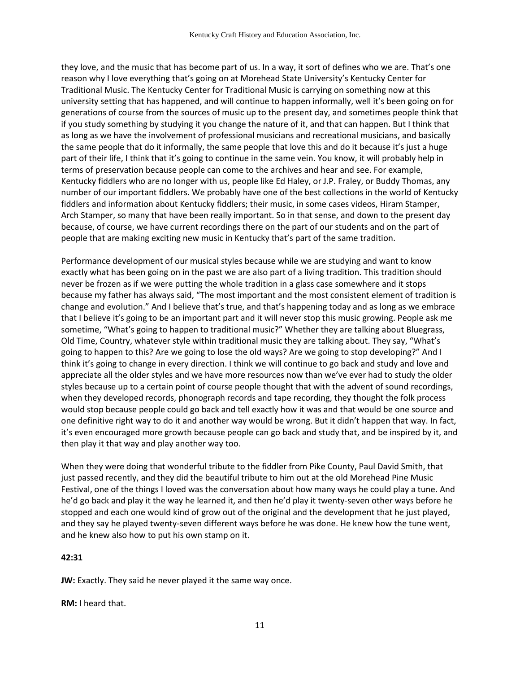they love, and the music that has become part of us. In a way, it sort of defines who we are. That's one reason why I love everything that's going on at Morehead State University's Kentucky Center for Traditional Music. The Kentucky Center for Traditional Music is carrying on something now at this university setting that has happened, and will continue to happen informally, well it's been going on for generations of course from the sources of music up to the present day, and sometimes people think that if you study something by studying it you change the nature of it, and that can happen. But I think that as long as we have the involvement of professional musicians and recreational musicians, and basically the same people that do it informally, the same people that love this and do it because it's just a huge part of their life, I think that it's going to continue in the same vein. You know, it will probably help in terms of preservation because people can come to the archives and hear and see. For example, Kentucky fiddlers who are no longer with us, people like Ed Haley, or J.P. Fraley, or Buddy Thomas, any number of our important fiddlers. We probably have one of the best collections in the world of Kentucky fiddlers and information about Kentucky fiddlers; their music, in some cases videos, Hiram Stamper, Arch Stamper, so many that have been really important. So in that sense, and down to the present day because, of course, we have current recordings there on the part of our students and on the part of people that are making exciting new music in Kentucky that's part of the same tradition.

Performance development of our musical styles because while we are studying and want to know exactly what has been going on in the past we are also part of a living tradition. This tradition should never be frozen as if we were putting the whole tradition in a glass case somewhere and it stops because my father has always said, "The most important and the most consistent element of tradition is change and evolution." And I believe that's true, and that's happening today and as long as we embrace that I believe it's going to be an important part and it will never stop this music growing. People ask me sometime, "What's going to happen to traditional music?" Whether they are talking about Bluegrass, Old Time, Country, whatever style within traditional music they are talking about. They say, "What's going to happen to this? Are we going to lose the old ways? Are we going to stop developing?" And I think it's going to change in every direction. I think we will continue to go back and study and love and appreciate all the older styles and we have more resources now than we've ever had to study the older styles because up to a certain point of course people thought that with the advent of sound recordings, when they developed records, phonograph records and tape recording, they thought the folk process would stop because people could go back and tell exactly how it was and that would be one source and one definitive right way to do it and another way would be wrong. But it didn't happen that way. In fact, it's even encouraged more growth because people can go back and study that, and be inspired by it, and then play it that way and play another way too.

When they were doing that wonderful tribute to the fiddler from Pike County, Paul David Smith, that just passed recently, and they did the beautiful tribute to him out at the old Morehead Pine Music Festival, one of the things I loved was the conversation about how many ways he could play a tune. And he'd go back and play it the way he learned it, and then he'd play it twenty-seven other ways before he stopped and each one would kind of grow out of the original and the development that he just played, and they say he played twenty-seven different ways before he was done. He knew how the tune went, and he knew also how to put his own stamp on it.

#### **42:31**

**JW:** Exactly. They said he never played it the same way once.

**RM:** I heard that.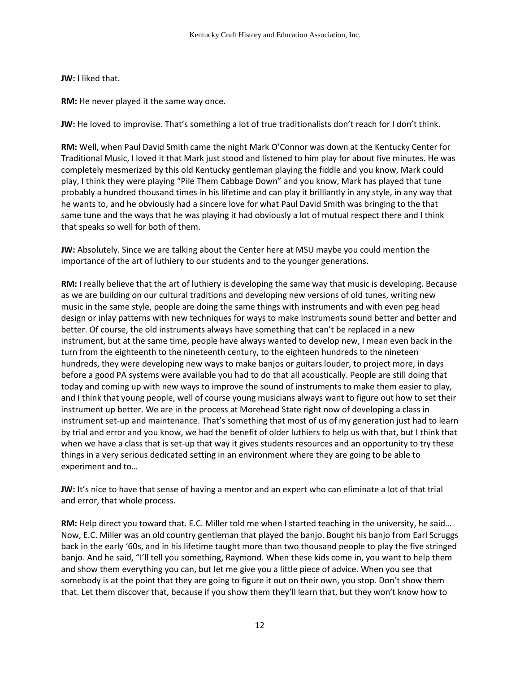**JW:** I liked that.

**RM:** He never played it the same way once.

**JW:** He loved to improvise. That's something a lot of true traditionalists don't reach for I don't think.

**RM:** Well, when Paul David Smith came the night Mark O'Connor was down at the Kentucky Center for Traditional Music, I loved it that Mark just stood and listened to him play for about five minutes. He was completely mesmerized by this old Kentucky gentleman playing the fiddle and you know, Mark could play, I think they were playing "Pile Them Cabbage Down" and you know, Mark has played that tune probably a hundred thousand times in his lifetime and can play it brilliantly in any style, in any way that he wants to, and he obviously had a sincere love for what Paul David Smith was bringing to the that same tune and the ways that he was playing it had obviously a lot of mutual respect there and I think that speaks so well for both of them.

**JW:** Absolutely. Since we are talking about the Center here at MSU maybe you could mention the importance of the art of luthiery to our students and to the younger generations.

**RM:** I really believe that the art of luthiery is developing the same way that music is developing. Because as we are building on our cultural traditions and developing new versions of old tunes, writing new music in the same style, people are doing the same things with instruments and with even peg head design or inlay patterns with new techniques for ways to make instruments sound better and better and better. Of course, the old instruments always have something that can't be replaced in a new instrument, but at the same time, people have always wanted to develop new, I mean even back in the turn from the eighteenth to the nineteenth century, to the eighteen hundreds to the nineteen hundreds, they were developing new ways to make banjos or guitars louder, to project more, in days before a good PA systems were available you had to do that all acoustically. People are still doing that today and coming up with new ways to improve the sound of instruments to make them easier to play, and I think that young people, well of course young musicians always want to figure out how to set their instrument up better. We are in the process at Morehead State right now of developing a class in instrument set-up and maintenance. That's something that most of us of my generation just had to learn by trial and error and you know, we had the benefit of older luthiers to help us with that, but I think that when we have a class that is set-up that way it gives students resources and an opportunity to try these things in a very serious dedicated setting in an environment where they are going to be able to experiment and to…

**JW:** It's nice to have that sense of having a mentor and an expert who can eliminate a lot of that trial and error, that whole process.

**RM:** Help direct you toward that. E.C. Miller told me when I started teaching in the university, he said… Now, E.C. Miller was an old country gentleman that played the banjo. Bought his banjo from Earl Scruggs back in the early '60s, and in his lifetime taught more than two thousand people to play the five stringed banjo. And he said, "I'll tell you something, Raymond. When these kids come in, you want to help them and show them everything you can, but let me give you a little piece of advice. When you see that somebody is at the point that they are going to figure it out on their own, you stop. Don't show them that. Let them discover that, because if you show them they'll learn that, but they won't know how to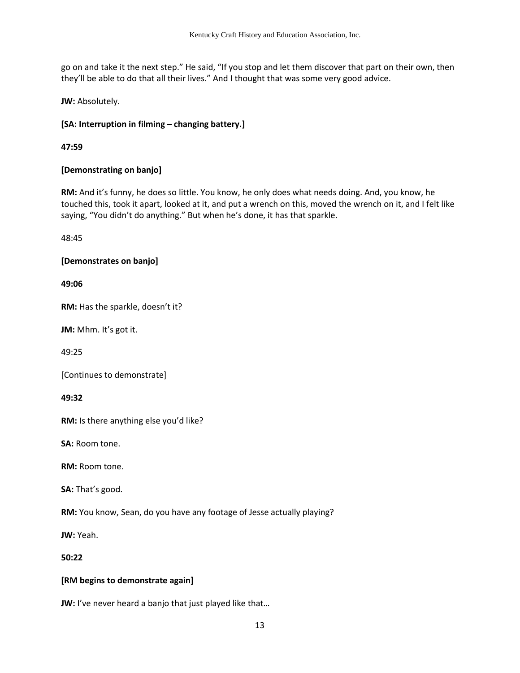go on and take it the next step." He said, "If you stop and let them discover that part on their own, then they'll be able to do that all their lives." And I thought that was some very good advice.

**JW:** Absolutely.

# **[SA: Interruption in filming – changing battery.]**

**47:59**

# **[Demonstrating on banjo]**

**RM:** And it's funny, he does so little. You know, he only does what needs doing. And, you know, he touched this, took it apart, looked at it, and put a wrench on this, moved the wrench on it, and I felt like saying, "You didn't do anything." But when he's done, it has that sparkle.

48:45

# **[Demonstrates on banjo]**

**49:06** 

**RM:** Has the sparkle, doesn't it?

**JM:** Mhm. It's got it.

49:25

[Continues to demonstrate]

**49:32**

**RM:** Is there anything else you'd like?

**SA:** Room tone.

**RM:** Room tone.

**SA:** That's good.

**RM:** You know, Sean, do you have any footage of Jesse actually playing?

**JW:** Yeah.

**50:22** 

### **[RM begins to demonstrate again]**

**JW:** I've never heard a banjo that just played like that…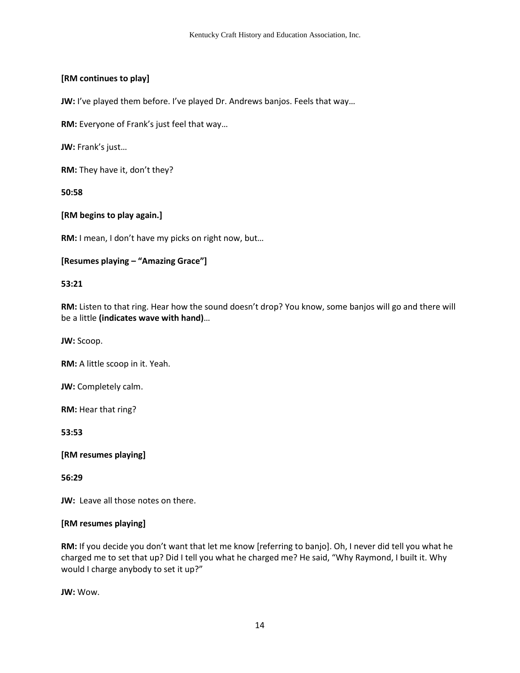# **[RM continues to play]**

**JW:** I've played them before. I've played Dr. Andrews banjos. Feels that way...

**RM:** Everyone of Frank's just feel that way…

**JW:** Frank's just…

**RM:** They have it, don't they?

**50:58**

**[RM begins to play again.]** 

**RM:** I mean, I don't have my picks on right now, but…

```
[Resumes playing – "Amazing Grace"]
```
#### **53:21**

**RM:** Listen to that ring. Hear how the sound doesn't drop? You know, some banjos will go and there will be a little **(indicates wave with hand)**…

**JW:** Scoop.

**RM:** A little scoop in it. Yeah.

**JW:** Completely calm.

**RM:** Hear that ring?

**53:53** 

**[RM resumes playing]** 

**56:29**

**JW:** Leave all those notes on there.

### **[RM resumes playing]**

**RM:** If you decide you don't want that let me know [referring to banjo]. Oh, I never did tell you what he charged me to set that up? Did I tell you what he charged me? He said, "Why Raymond, I built it. Why would I charge anybody to set it up?"

**JW:** Wow.